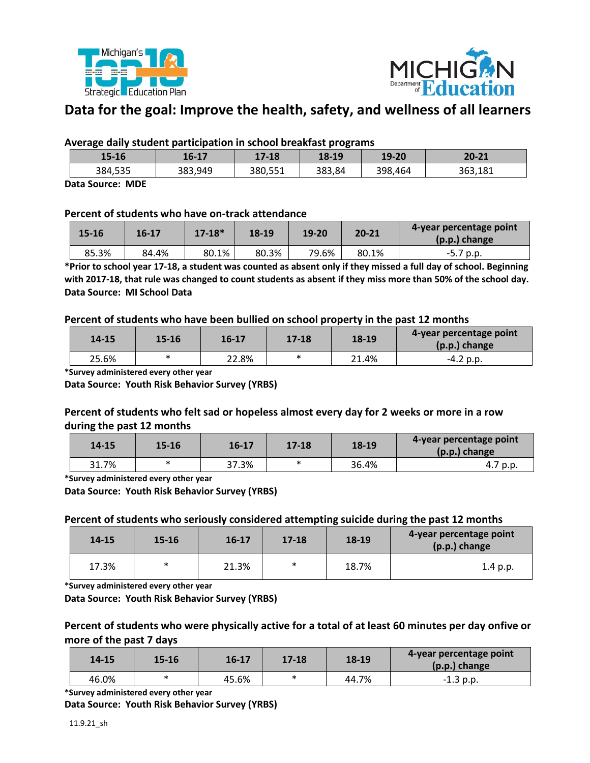



# **Data for the goal: Improve the health, safety, and wellness of all learners**

## **Average daily student participation in school breakfast programs**

| 15-16   | 16-17   | 17-18   | 18-19  | 19-20   | 20-21   |
|---------|---------|---------|--------|---------|---------|
| 384,535 | 383,949 | 380,551 | 383,84 | 398,464 | 363,181 |

**Data Source: MDE**

## **Percent of students who have on-track attendance**

| $15 - 16$ | 16-17 | $17 - 18*$ | 18-19 | 19-20 | $20 - 21$ | 4-year percentage point<br>$(p.p.)$ change |
|-----------|-------|------------|-------|-------|-----------|--------------------------------------------|
| 85.3%     | 84.4% | 80.1%      | 80.3% | 79.6% | 80.1%     | $-5.7$ p.p.                                |

**\*Prior to school year 17-18, a student was counted as absent only if they missed a full day of school. Beginning with 2017-18, that rule was changed to count students as absent if they miss more than 50% of the school day. Data Source: MI School Data**

#### **Percent of students who have been bullied on school property in the past 12 months**

| $14 - 15$ | 15-16 | 16-17 | $17 - 18$ | 18-19 | 4-year percentage point<br>$(p.p.)$ change |
|-----------|-------|-------|-----------|-------|--------------------------------------------|
| 25.6%     | ∗     | 22.8% |           | 21.4% | -4.2 p.p.                                  |

**\*Survey administered every other year**

**Data Source: Youth Risk Behavior Survey (YRBS)**

# **Percent of students who felt sad or hopeless almost every day for 2 weeks or more in a row during the past 12 months**

| $14 - 15$ | 15-16  | 16-17 | 17-18 | 18-19 | 4-year percentage point<br>(p.p.) change |
|-----------|--------|-------|-------|-------|------------------------------------------|
| 31.7%     | $\ast$ | 37.3% |       | 36.4% | 4.7 p.p.                                 |

**\*Survey administered every other year**

**Data Source: Youth Risk Behavior Survey (YRBS)**

#### **Percent of students who seriously considered attempting suicide during the past 12 months**

| 14-15 | $15 - 16$ | $16 - 17$ | $17 - 18$ | 18-19 | 4-year percentage point<br>(p.p.) change |
|-------|-----------|-----------|-----------|-------|------------------------------------------|
| 17.3% | $\ast$    | 21.3%     | ∗         | 18.7% | 1.4 p.p.                                 |

**\*Survey administered every other year**

**Data Source: Youth Risk Behavior Survey (YRBS)**

## **Percent of students who were physically active for a total of at least 60 minutes per day onfive or more of the past 7 days**

| $14 - 15$ | 15-16  | $16 - 17$ | $17 - 18$ | 18-19 | 4-year percentage point<br>(p.p.) change |
|-----------|--------|-----------|-----------|-------|------------------------------------------|
| 46.0%     | $\ast$ | 45.6%     |           | 44.7% | $-1.3$ p.p.                              |

**\*Survey administered every other year**

**Data Source: Youth Risk Behavior Survey (YRBS)**